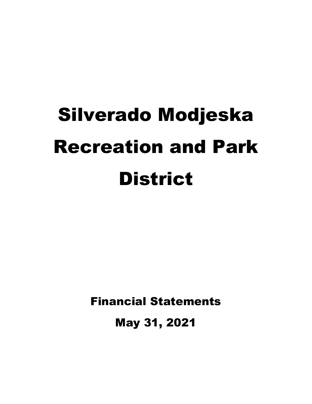# Silverado Modjeska Recreation and Park **District**

Financial Statements

May 31, 2021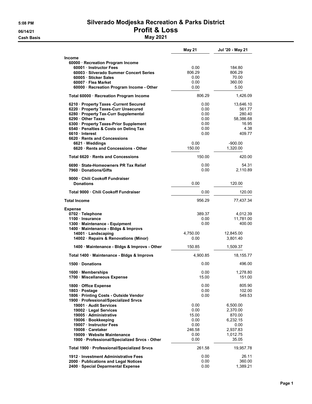### **Cash Basis** May 2021

### 5:08 PM Silverado Modjeska Recreation & Parks District 06/14/21 **Profit & Loss**

|                                                                                                                                                                                                                                                                                 | <b>May 21</b>                                                   | Jul '20 - May 21                                                                    |
|---------------------------------------------------------------------------------------------------------------------------------------------------------------------------------------------------------------------------------------------------------------------------------|-----------------------------------------------------------------|-------------------------------------------------------------------------------------|
| Income<br>60000 · Recreation Program Income<br>60001 Instructor Fees<br>60003 Silverado Summer Concert Series<br>60005 Sticker Sales<br>60007 · Flea Market<br>60000 · Recreation Program Income - Other                                                                        | 0.00<br>806.29<br>0.00<br>0.00<br>0.00                          | 184.80<br>806.29<br>70.00<br>360.00<br>5.00                                         |
| Total 60000 · Recreation Program Income                                                                                                                                                                                                                                         | 806.29                                                          | 1,426.09                                                                            |
| 6210 · Property Taxes - Current Secured<br>6220 · Property Taxes-Curr Unsecured<br>6280 · Property Tax-Curr Supplemental<br>6290 Other Taxes<br>6300 · Property Taxes-Prior Supplement<br>6540 · Penalties & Costs on Deling Tax<br>6610 Interest<br>6620 Rents and Concessions | 0.00<br>0.00<br>0.00<br>0.00<br>0.00<br>0.00<br>0.00            | 13,646.10<br>561.77<br>280.40<br>58,386.68<br>16.95<br>4.38<br>409.77               |
| 6621 Weddings<br>6620 · Rents and Concessions - Other                                                                                                                                                                                                                           | 0.00<br>150.00                                                  | $-900.00$<br>1,320.00                                                               |
| Total 6620 Rents and Concessions                                                                                                                                                                                                                                                | 150.00                                                          | 420.00                                                                              |
| 6690 · State-Homeowners PR Tax Relief<br>7960 Donations/Gifts                                                                                                                                                                                                                   | 0.00<br>0.00                                                    | 54.31<br>2.110.89                                                                   |
| 9000 Chili Cookoff Fundraiser<br><b>Donations</b>                                                                                                                                                                                                                               | 0.00                                                            | 120.00                                                                              |
| Total 9000 · Chili Cookoff Fundraiser                                                                                                                                                                                                                                           | 0.00                                                            | 120.00                                                                              |
| <b>Total Income</b>                                                                                                                                                                                                                                                             | 956.29                                                          | 77,437.34                                                                           |
| <b>Expense</b><br>0702 · Telephone<br>1100 · Insurance<br>1300 · Maintenance - Equipment<br>1400 · Maintenance - Bldgs & Improvs<br>14001 · Landscaping<br>14002 · Repairs & Renovations (Minor)                                                                                | 389.37<br>0.00<br>0.00<br>4,750.00<br>0.00                      | 4,012.39<br>11,781.00<br>400.00<br>12,845.00<br>3,801.40                            |
| 1400 · Maintenance - Bldgs & Improvs - Other                                                                                                                                                                                                                                    | 150.85                                                          | 1,509.37                                                                            |
| Total 1400 · Maintenance - Bldgs & Improvs                                                                                                                                                                                                                                      | 4,900.85                                                        | 18,155.77                                                                           |
| 1500 Donations                                                                                                                                                                                                                                                                  | 0.00                                                            | 496.00                                                                              |
| 1600 · Memberships<br>1700 · Miscellaneous Expense                                                                                                                                                                                                                              | 0.00<br>15.00                                                   | 1,278.80<br>151.00                                                                  |
| 1800 Office Expense<br>1803 · Postage<br>1806 · Printing Costs - Outside Vendor<br>1900 · Professional/Specialized Srvcs                                                                                                                                                        | 0.00<br>0.00<br>0.00                                            | 805.90<br>102.00<br>549.53                                                          |
| 19001 · Audit Services<br>19002 · Legal Services<br>19005 · Administrative<br>19006 · Bookkeeping<br>19007 · Instructor Fees<br>19008 Caretaker<br>19009 · Website Maintenance<br>1900 · Professional/Specialized Srvcs - Other                                                 | 0.00<br>0.00<br>15.00<br>0.00<br>0.00<br>246.58<br>0.00<br>0.00 | 6,500.00<br>2,370.00<br>870.00<br>6,232.15<br>0.00<br>2,937.83<br>1,012.75<br>35.05 |
| Total 1900 · Professional/Specialized Srvcs                                                                                                                                                                                                                                     | 261.58                                                          | 19,957.78                                                                           |
| 1912 Investment Administrative Fees<br>2000 · Publications and Legal Notices<br>2400 · Special Deparmental Expense                                                                                                                                                              | 0.00<br>0.00<br>0.00                                            | 26.11<br>360.00<br>1,389.21                                                         |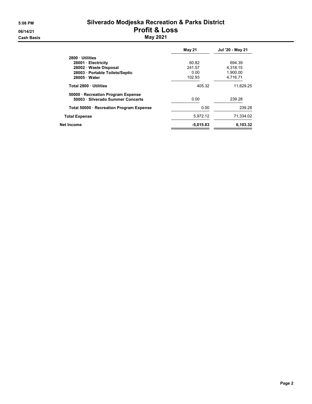#### 5:08 PM Silverado Modjeska Recreation & Parks District 06/14/21 **Profit & Loss Cash Basis** May 2021

|                                          | May 21      | Jul '20 - May 21 |
|------------------------------------------|-------------|------------------|
| 2800 Utilities                           |             |                  |
| 28001 Electricity                        | 60.82       | 694.39           |
| 28002 Waste Disposal                     | 241.57      | 4.318.15         |
| 28003 Portable Toilets/Septic            | 0.00        | 1.900.00         |
| 28005 Water                              | 102.93      | 4.716.71         |
| Total 2800 Utilities                     | 405.32      | 11.629.25        |
| 50000 · Recreation Program Expense       |             |                  |
| 50003 · Silverado Summer Concerts        | 0.00        | 239.28           |
| Total 50000 · Recreation Program Expense | 0.00        | 239.28           |
| <b>Total Expense</b>                     | 5,972.12    | 71,334.02        |
| Net Income                               | $-5,015.83$ | 6,103.32         |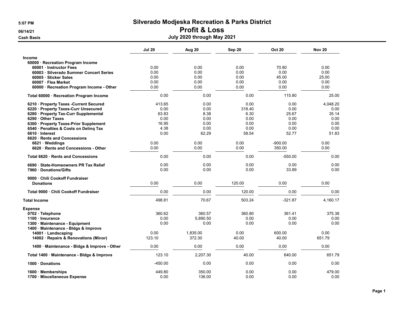### 06/14/21 Profit & Loss

|                                                             | <b>Jul 20</b> | Aug 20       | Sep 20       | <b>Oct 20</b> | <b>Nov 20</b> |
|-------------------------------------------------------------|---------------|--------------|--------------|---------------|---------------|
| <b>Income</b>                                               |               |              |              |               |               |
| 60000 · Recreation Program Income                           |               |              |              |               |               |
| 60001 Instructor Fees                                       | 0.00          | 0.00         | 0.00         | 70.80         | 0.00          |
| 60003 · Silverado Summer Concert Series                     | 0.00          | 0.00         | 0.00         | 0.00          | 0.00          |
| 60005 · Sticker Sales                                       | 0.00          | 0.00         | 0.00         | 45.00         | 25.00         |
| 60007 · Flea Market                                         | 0.00          | 0.00         | 0.00         | 0.00          | 0.00          |
| 60000 · Recreation Program Income - Other                   | 0.00          | 0.00         | 0.00         | 0.00          | 0.00          |
| Total 60000 · Recreation Program Income                     | 0.00          | 0.00         | 0.00         | 115.80        | 25.00         |
| 6210 · Property Taxes -Current Secured                      | 413.65        | 0.00         | 0.00         | 0.00          | 4,048.20      |
| 6220 · Property Taxes-Curr Unsecured                        | 0.00          | 0.00         | 318.40       | 0.00          | 0.00          |
| 6280 · Property Tax-Curr Supplemental                       | 63.83         | 8.38         | 6.30         | 25.67         | 35.14         |
| 6290 Other Taxes                                            | 0.00          | 0.00         | 0.00         | 0.00          | 0.00          |
| 6300 · Property Taxes-Prior Supplement                      | 16.95         | 0.00         | 0.00         | 0.00          | 0.00          |
| 6540 · Penalties & Costs on Delinq Tax                      | 4.38          | 0.00         | 0.00         | 0.00          | 0.00          |
| 6610 Interest                                               | 0.00          | 62.29        | 58.54        | 52.77         | 51.83         |
| 6620 · Rents and Concessions                                |               |              |              |               |               |
| $6621 \cdot W$ eddings                                      | 0.00          | 0.00         | 0.00         | $-900.00$     | 0.00          |
| 6620 · Rents and Concessions - Other                        | 0.00          | 0.00         | 0.00         | 350.00        | 0.00          |
| Total 6620 · Rents and Concessions                          | 0.00          | 0.00         | 0.00         | $-550.00$     | 0.00          |
| 6690 State-Homeowners PR Tax Relief<br>7960 Donations/Gifts | 0.00<br>0.00  | 0.00<br>0.00 | 0.00<br>0.00 | 0.00<br>33.89 | 0.00<br>0.00  |
|                                                             |               |              |              |               |               |
| 9000 Chili Cookoff Fundraiser<br><b>Donations</b>           | 0.00          | 0.00         | 120.00       | 0.00          | 0.00          |
| Total 9000 Chili Cookoff Fundraiser                         | 0.00          | 0.00         | 120.00       | 0.00          | 0.00          |
| <b>Total Income</b>                                         | 498.81        | 70.67        | 503.24       | $-321.87$     | 4,160.17      |
| <b>Expense</b>                                              |               |              |              |               |               |
| 0702 · Telephone                                            | 360.62        | 360.57       | 360.80       | 361.41        | 375.38        |
| 1100 Insurance                                              | 0.00          | 5,890.50     | 0.00         | 0.00          | 0.00          |
| 1300 · Maintenance - Equipment                              | 0.00          | 0.00         | 0.00         | 0.00          | 0.00          |
| 1400 Maintenance - Bldgs & Improvs                          |               |              |              |               |               |
| 14001 · Landscaping                                         | 0.00          | 1,835.00     | 0.00         | 600.00        | 0.00          |
| 14002 · Repairs & Renovations (Minor)                       | 123.10        | 372.30       | 40.00        | 40.00         | 651.79        |
| 1400 · Maintenance - Bldgs & Improvs - Other                | 0.00          | 0.00         | 0.00         | 0.00          | 0.00          |
| Total 1400 · Maintenance - Bldgs & Improvs                  | 123.10        | 2,207.30     | 40.00        | 640.00        | 651.79        |
| 1500 Donations                                              | $-450.00$     | 0.00         | 0.00         | 0.00          | 0.00          |
| 1600 Memberships                                            | 449.80        | 350.00       | 0.00         | 0.00          | 479.00        |
| 1700 Miscellaneous Expense                                  | 0.00          | 136.00       | 0.00         | 0.00          | 0.00          |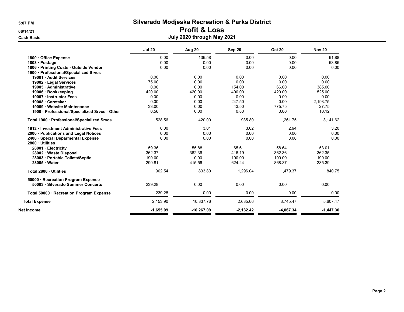# 06/14/21 Profit & Loss

|                                                                         | <b>Jul 20</b> | Aug 20     | Sep 20      | <b>Oct 20</b> | <b>Nov 20</b> |
|-------------------------------------------------------------------------|---------------|------------|-------------|---------------|---------------|
| 1800 Office Expense                                                     | 0.00          | 136.58     | 0.00        | 0.00          | 61.88         |
| 1803 · Postage                                                          | 0.00          | 0.00       | 0.00        | 0.00          | 53.85         |
| 1806 Printing Costs - Outside Vendor                                    | 0.00          | 0.00       | 0.00        | 0.00          | 0.00          |
| 1900 · Professional/Specialized Srvcs                                   |               |            |             |               |               |
| 19001 · Audit Services                                                  | 0.00          | 0.00       | 0.00        | 0.00          | 0.00          |
| 19002 · Legal Services                                                  | 75.00         | 0.00       | 0.00        | 0.00          | 0.00          |
| 19005 · Administrative                                                  | 0.00          | 0.00       | 154.00      | 66.00         | 385.00        |
| 19006 · Bookkeeping                                                     | 420.00        | 420.00     | 490.00      | 420.00        | 525.00        |
| 19007 Instructor Fees                                                   | 0.00          | 0.00       | 0.00        | 0.00          | 0.00          |
| 19008 · Caretaker                                                       | 0.00          | 0.00       | 247.50      | 0.00          | 2,193.75      |
| 19009 · Website Maintenance                                             | 33.00         | 0.00       | 43.50       | 775.75        | 27.75         |
| 1900 · Professional/Specialized Srvcs - Other                           | 0.56          | 0.00       | 0.80        | 0.00          | 10.12         |
| Total 1900 · Professional/Specialized Srvcs                             | 528.56        | 420.00     | 935.80      | 1,261.75      | 3,141.62      |
| 1912 Investment Administrative Fees                                     | 0.00          | 3.01       | 3.02        | 2.94          | 3.20          |
| 2000 Publications and Legal Notices                                     | 0.00          | 0.00       | 0.00        | 0.00          | 0.00          |
| 2400 · Special Deparmental Expense                                      | 0.00          | 0.00       | 0.00        | 0.00          | 0.00          |
| 2800 · Utilities                                                        |               |            |             |               |               |
| 28001 Electricity                                                       | 59.36         | 55.88      | 65.61       | 58.64         | 53.01         |
| 28002 · Waste Disposal                                                  | 362.37        | 362.36     | 416.19      | 362.36        | 362.35        |
| 28003 · Portable Toilets/Septic                                         | 190.00        | 0.00       | 190.00      | 190.00        | 190.00        |
| 28005 · Water                                                           | 290.81        | 415.56     | 624.24      | 868.37        | 235.39        |
| Total 2800 · Utilities                                                  | 902.54        | 833.80     | 1.296.04    | 1.479.37      | 840.75        |
| 50000 · Recreation Program Expense<br>50003 · Silverado Summer Concerts | 239.28        | 0.00       | 0.00        | 0.00          | 0.00          |
| Total 50000 · Recreation Program Expense                                | 239.28        | 0.00       | 0.00        | 0.00          | 0.00          |
| <b>Total Expense</b>                                                    | 2,153.90      | 10,337.76  | 2,635.66    | 3,745.47      | 5,607.47      |
| Net Income                                                              | $-1,655.09$   | -10,267.09 | $-2,132.42$ | $-4,067.34$   | $-1,447.30$   |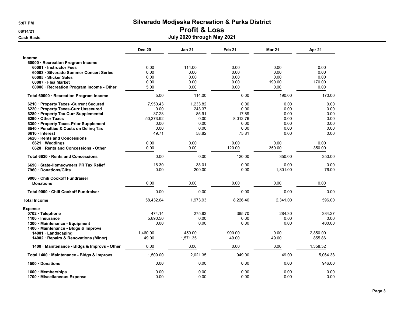### 06/14/21 Profit & Loss

|                                                             | <b>Dec 20</b> | <b>Jan 21</b>   | Feb <sub>21</sub> | <b>Mar 21</b>    | Apr 21        |
|-------------------------------------------------------------|---------------|-----------------|-------------------|------------------|---------------|
| <b>Income</b>                                               |               |                 |                   |                  |               |
| 60000 · Recreation Program Income                           |               |                 |                   |                  |               |
| 60001 Instructor Fees                                       | 0.00          | 114.00          | 0.00              | 0.00             | 0.00          |
| 60003 · Silverado Summer Concert Series                     | 0.00          | 0.00            | 0.00              | 0.00             | 0.00          |
| 60005 · Sticker Sales                                       | 0.00          | 0.00            | 0.00              | 0.00             | 0.00          |
| 60007 · Flea Market                                         | 0.00          | 0.00            | 0.00              | 190.00           | 170.00        |
| 60000 · Recreation Program Income - Other                   | 5.00          | 0.00            | 0.00              | 0.00             | 0.00          |
| Total 60000 · Recreation Program Income                     | 5.00          | 114.00          | 0.00              | 190.00           | 170.00        |
| 6210 Property Taxes - Current Secured                       | 7.950.43      | 1,233.82        | 0.00              | 0.00             | 0.00          |
| 6220 · Property Taxes-Curr Unsecured                        | 0.00          | 243.37          | 0.00              | 0.00             | 0.00          |
| 6280 · Property Tax-Curr Supplemental                       | 37.28         | 85.91           | 17.89             | 0.00             | 0.00          |
| 6290 Other Taxes                                            | 50,373.92     | 0.00            | 8,012.76          | 0.00             | 0.00          |
| 6300 · Property Taxes-Prior Supplement                      | 0.00          | 0.00            | 0.00              | 0.00             | 0.00          |
| 6540 · Penalties & Costs on Deling Tax                      | 0.00          | 0.00            | 0.00              | 0.00             | 0.00          |
| 6610 · Interest                                             | 49.71         | 58.82           | 75.81             | 0.00             | 0.00          |
| 6620 Rents and Concessions                                  |               |                 |                   |                  |               |
| 6621 Weddings                                               | 0.00          | 0.00            | 0.00              | 0.00             | 0.00          |
| 6620 Rents and Concessions - Other                          | 0.00          | 0.00            | 120.00            | 350.00           | 350.00        |
| Total 6620 · Rents and Concessions                          | 0.00          | 0.00            | 120.00            | 350.00           | 350.00        |
| 6690 State-Homeowners PR Tax Relief<br>7960 Donations/Gifts | 16.30<br>0.00 | 38.01<br>200.00 | 0.00<br>0.00      | 0.00<br>1,801.00 | 0.00<br>76.00 |
| 9000 Chili Cookoff Fundraiser                               |               |                 |                   |                  |               |
| <b>Donations</b>                                            | 0.00          | 0.00            | 0.00              | 0.00             | 0.00          |
| Total 9000 . Chili Cookoff Fundraiser                       | 0.00          | 0.00            | 0.00              | 0.00             | 0.00          |
| <b>Total Income</b>                                         | 58,432.64     | 1,973.93        | 8,226.46          | 2,341.00         | 596.00        |
| <b>Expense</b>                                              |               |                 |                   |                  |               |
| 0702 · Telephone                                            | 474.14        | 275.83          | 385.70            | 284.30           | 384.27        |
| 1100 Insurance                                              | 5.890.50      | 0.00            | 0.00              | 0.00             | 0.00          |
| 1300 Maintenance - Equipment                                | 0.00          | 0.00            | 0.00              | 0.00             | 400.00        |
| 1400 Maintenance - Bldgs & Improvs                          |               |                 |                   |                  |               |
| 14001 · Landscaping                                         | 1,460.00      | 450.00          | 900.00            | 0.00             | 2,850.00      |
| 14002 · Repairs & Renovations (Minor)                       | 49.00         | 1,571.35        | 49.00             | 49.00            | 855.86        |
| 1400 · Maintenance - Bldgs & Improvs - Other                | 0.00          | 0.00            | 0.00              | 0.00             | 1,358.52      |
| Total 1400 · Maintenance - Bldgs & Improvs                  | 1,509.00      | 2,021.35        | 949.00            | 49.00            | 5.064.38      |
| 1500 Donations                                              | 0.00          | 0.00            | 0.00              | 0.00             | 946.00        |
| 1600 · Memberships<br>1700 Miscellaneous Expense            | 0.00<br>0.00  | 0.00<br>0.00    | 0.00<br>0.00      | 0.00<br>0.00     | 0.00<br>0.00  |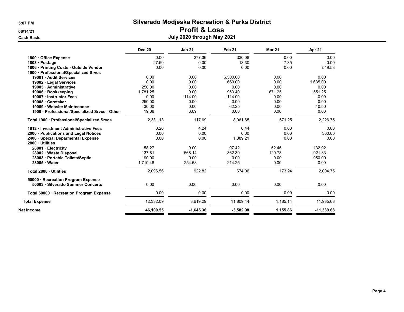### 06/14/21 Profit & Loss

|                                                      | <b>Dec 20</b> | <b>Jan 21</b> | Feb <sub>21</sub> | <b>Mar 21</b> | Apr 21       |
|------------------------------------------------------|---------------|---------------|-------------------|---------------|--------------|
| 1800 Office Expense                                  | 0.00          | 277.36        | 330.08            | 0.00          | 0.00         |
| 1803 · Postage                                       | 27.50         | 0.00          | 13.30             | 7.35          | 0.00         |
| 1806 · Printing Costs - Outside Vendor               | 0.00          | 0.00          | 0.00              | 0.00          | 549.53       |
| 1900 · Professional/Specialized Srvcs                |               |               |                   |               |              |
| 19001 Audit Services                                 | 0.00          | 0.00          | 6,500.00          | 0.00          | 0.00         |
| 19002 · Legal Services                               | 0.00          | 0.00          | 660.00            | 0.00          | 1.635.00     |
| 19005 Administrative                                 | 250.00        | 0.00          | 0.00              | 0.00          | 0.00         |
| 19006 · Bookkeeping                                  | 1,781.25      | 0.00          | 953.40            | 671.25        | 551.25       |
| 19007 · Instructor Fees                              | 0.00          | 114.00        | $-114.00$         | 0.00          | 0.00         |
| 19008 · Caretaker                                    | 250.00        | 0.00          | 0.00              | 0.00          | 0.00         |
| 19009 · Website Maintenance                          | 30.00         | 0.00          | 62.25             | 0.00          | 40.50        |
| 1900 · Professional/Specialized Srvcs - Other        | 19.88         | 3.69          | 0.00              | 0.00          | 0.00         |
| Total 1900 · Professional/Specialized Srvcs          | 2,331.13      | 117.69        | 8,061.65          | 671.25        | 2,226.75     |
| 1912 · Investment Administrative Fees                | 3.26          | 4.24          | 6.44              | 0.00          | 0.00         |
| 2000 · Publications and Legal Notices                | 0.00          | 0.00          | 0.00              | 0.00          | 360.00       |
| 2400 · Special Deparmental Expense<br>2800 Utilities | 0.00          | 0.00          | 1,389.21          | 0.00          | 0.00         |
| 28001 · Electricity                                  | 58.27         | 0.00          | 97.42             | 52.46         | 132.92       |
| 28002 · Waste Disposal                               | 137.81        | 668.14        | 362.39            | 120.78        | 921.83       |
| 28003 · Portable Toilets/Septic                      | 190.00        | 0.00          | 0.00              | 0.00          | 950.00       |
| $28005 \cdot Water$                                  | 1,710.48      | 254.68        | 214.25            | 0.00          | 0.00         |
| Total 2800 · Utilities                               | 2,096.56      | 922.82        | 674.06            | 173.24        | 2,004.75     |
| 50000 · Recreation Program Expense                   |               |               |                   |               |              |
| 50003 · Silverado Summer Concerts                    | 0.00          | 0.00          | 0.00              | 0.00          | 0.00         |
| Total 50000 · Recreation Program Expense             | 0.00          | 0.00          | 0.00              | 0.00          | 0.00         |
| <b>Total Expense</b>                                 | 12,332.09     | 3.619.29      | 11.809.44         | 1.185.14      | 11,935.68    |
| Net Income                                           | 46,100.55     | $-1,645.36$   | $-3,582.98$       | 1,155.86      | $-11,339.68$ |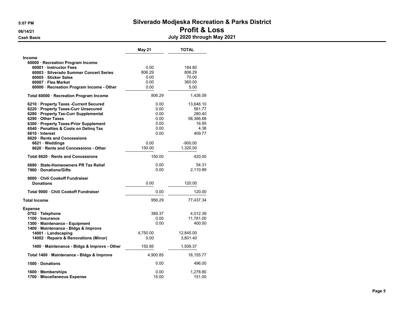#### 5:07 PM Silverado Modjeska Recreation & Parks District 06/14/21 Profit & Loss Cash Basis July 2020 through May 2021

|                                                             | <b>May 21</b>  | <b>TOTAL</b>          |
|-------------------------------------------------------------|----------------|-----------------------|
| <b>Income</b>                                               |                |                       |
| 60000 · Recreation Program Income                           |                |                       |
| 60001 · Instructor Fees                                     | 0.00           | 184.80                |
| 60003 · Silverado Summer Concert Series                     | 806.29         | 806.29                |
| 60005 · Sticker Sales                                       | 0.00           | 70.00                 |
| 60007 · Flea Market                                         | 0.00           | 360.00                |
| 60000 · Recreation Program Income - Other                   | 0.00           | 5.00                  |
| Total 60000 · Recreation Program Income                     | 806.29         | 1,426.09              |
| 6210 Property Taxes - Current Secured                       | 0.00           | 13,646.10             |
| 6220 · Property Taxes-Curr Unsecured                        | 0.00           | 561.77                |
| 6280 · Property Tax-Curr Supplemental                       | 0.00           | 280.40                |
| 6290 Other Taxes                                            | 0.00           | 58,386.68             |
| 6300 · Property Taxes-Prior Supplement                      | 0.00           | 16.95                 |
| 6540 · Penalties & Costs on Deling Tax                      | 0.00           | 4.38                  |
| 6610 Interest                                               | 0.00           | 409.77                |
| 6620 Rents and Concessions                                  |                |                       |
| 6621 · Weddings<br>6620 · Rents and Concessions - Other     | 0.00<br>150.00 | $-900.00$<br>1,320.00 |
|                                                             |                |                       |
| Total 6620 · Rents and Concessions                          | 150.00         | 420.00                |
| 6690 State-Homeowners PR Tax Relief<br>7960 Donations/Gifts | 0.00<br>0.00   | 54.31<br>2,110.89     |
|                                                             |                |                       |
| 9000 Chili Cookoff Fundraiser                               |                |                       |
| <b>Donations</b>                                            | 0.00           | 120.00                |
| Total 9000 · Chili Cookoff Fundraiser                       | 0.00           | 120.00                |
| <b>Total Income</b>                                         | 956.29         | 77,437.34             |
| <b>Expense</b>                                              |                |                       |
| 0702 · Telephone                                            | 389.37         | 4,012.39              |
| 1100 · Insurance                                            | 0.00           | 11,781.00             |
| 1300 · Maintenance - Equipment                              | 0.00           | 400.00                |
| 1400 · Maintenance - Bldgs & Improvs                        |                |                       |
| 14001 · Landscaping                                         | 4,750.00       | 12,845.00             |
| 14002 · Repairs & Renovations (Minor)                       | 0.00           | 3,801.40              |
| 1400 · Maintenance - Bldgs & Improvs - Other                | 150.85         | 1,509.37              |
| Total 1400 · Maintenance - Bldgs & Improvs                  | 4,900.85       | 18,155.77             |
| 1500 Donations                                              | 0.00           | 496.00                |
| 1600 Memberships<br>1700 Miscellaneous Expense              | 0.00<br>15.00  | 1.278.80<br>151.00    |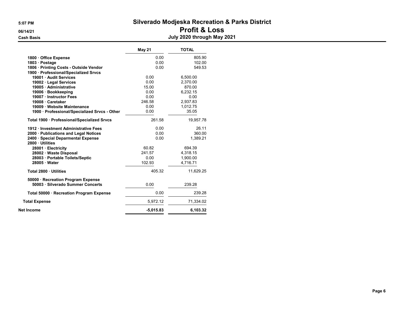### 5:07 PM Silverado Modjeska Recreation & Parks District 06/14/21 Profit & Loss

|                                               | <b>May 21</b> | <b>TOTAL</b> |
|-----------------------------------------------|---------------|--------------|
| 1800 Office Expense                           | 0.00          | 805.90       |
| 1803 · Postage                                | 0.00          | 102.00       |
| 1806 · Printing Costs - Outside Vendor        | 0.00          | 549.53       |
| 1900 · Professional/Specialized Srvcs         |               |              |
| 19001 · Audit Services                        | 0.00          | 6,500.00     |
| 19002 · Legal Services                        | 0.00          | 2.370.00     |
| 19005 · Administrative                        | 15.00         | 870.00       |
| 19006 · Bookkeeping                           | 0.00          | 6.232.15     |
| 19007 · Instructor Fees                       | 0.00          | 0.00         |
| 19008 Caretaker                               | 246.58        | 2,937.83     |
| 19009 · Website Maintenance                   | 0.00          | 1,012.75     |
| 1900 · Professional/Specialized Srvcs - Other | 0.00          | 35.05        |
| Total 1900 · Professional/Specialized Srvcs   | 261.58        | 19,957.78    |
| 1912 · Investment Administrative Fees         | 0.00          | 26.11        |
| 2000 · Publications and Legal Notices         | 0.00          | 360.00       |
| 2400 · Special Deparmental Expense            | 0.00          | 1,389.21     |
| 2800 Utilities                                |               |              |
| 28001 · Electricity                           | 60.82         | 694.39       |
| 28002 · Waste Disposal                        | 241.57        | 4,318.15     |
| 28003 · Portable Toilets/Septic               | 0.00          | 1.900.00     |
| 28005 · Water                                 | 102.93        | 4,716.71     |
| Total 2800 · Utilities                        | 405.32        | 11,629.25    |
| 50000 · Recreation Program Expense            |               |              |
| 50003 · Silverado Summer Concerts             | 0.00          | 239.28       |
| Total 50000 · Recreation Program Expense      | 0.00          | 239.28       |
| <b>Total Expense</b>                          | 5,972.12      | 71,334.02    |
| Net Income                                    | $-5,015.83$   | 6,103.32     |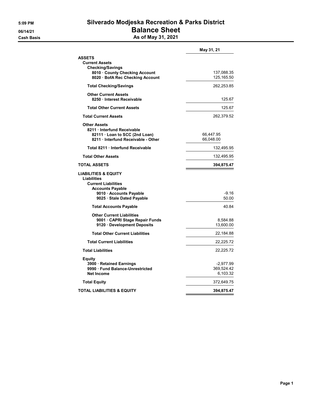#### 5:09 PM Silverado Modjeska Recreation & Parks District 06/14/21 **Balance Sheet** Cash Basis **As of May 31, 2021**

| <b>ASSETS</b><br><b>Current Assets</b><br><b>Checking/Savings</b><br>8010 County Checking Account                                                              |                                     |
|----------------------------------------------------------------------------------------------------------------------------------------------------------------|-------------------------------------|
|                                                                                                                                                                | 137,088.35                          |
| 8020 · BofA Rec Checking Account                                                                                                                               | 125, 165.50                         |
| <b>Total Checking/Savings</b>                                                                                                                                  | 262,253.85                          |
| <b>Other Current Assets</b><br>8250 · Interest Receivable                                                                                                      | 125.67                              |
| <b>Total Other Current Assets</b>                                                                                                                              | 125.67                              |
| <b>Total Current Assets</b>                                                                                                                                    | 262,379.52                          |
| <b>Other Assets</b><br>8211 Interfund Receivable<br>82111 · Loan to SCC (2nd Loan)<br>8211 Interfund Receivable - Other                                        | 66,447.95<br>66,048.00              |
| Total 8211 · Interfund Receivable                                                                                                                              | 132,495.95                          |
| <b>Total Other Assets</b>                                                                                                                                      | 132,495.95                          |
| TOTAL ASSETS                                                                                                                                                   | 394,875.47                          |
| <b>LIABILITIES &amp; EQUITY</b><br>Liabilities<br><b>Current Liabilities</b><br><b>Accounts Payable</b><br>9010 Accounts Payable<br>9025 · Stale Dated Payable | $-9.16$<br>50.00                    |
| <b>Total Accounts Payable</b>                                                                                                                                  | 40.84                               |
| <b>Other Current Liabilities</b><br>9001 CAPRI Stage Repair Funds<br>9120 Development Deposits                                                                 | 8,584.88<br>13,600.00               |
| <b>Total Other Current Liabilities</b>                                                                                                                         | 22,184.88                           |
| <b>Total Current Liabilities</b>                                                                                                                               | 22,225.72                           |
| <b>Total Liabilities</b>                                                                                                                                       | 22,225.72                           |
| Equity<br>3900 · Retained Earnings<br>9990 Fund Balance-Unrestricted<br><b>Net Income</b>                                                                      | -2,977.99<br>369,524.42<br>6,103.32 |
| <b>Total Equity</b>                                                                                                                                            | 372,649.75                          |
| TOTAL LIABILITIES & EQUITY                                                                                                                                     | 394,875.47                          |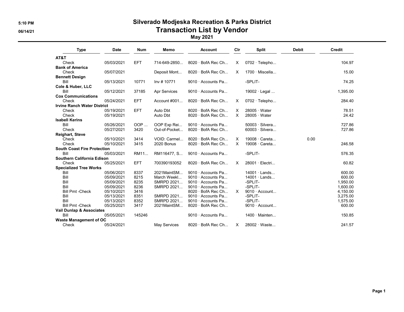### 5:10 PM Silverado Modjeska Recreation & Parks District 06/14/21 Contraction List by Vendor

May 2021

| <b>Type</b>                         | <b>Date</b> | <b>Num</b> | Memo                | <b>Account</b>           | Cir      | <b>Split</b>          | <b>Debit</b> | Credit   |
|-------------------------------------|-------------|------------|---------------------|--------------------------|----------|-----------------------|--------------|----------|
| AT&T                                |             |            |                     |                          |          |                       |              |          |
| Check                               | 05/03/2021  | <b>EFT</b> | 714-649-2850        | $8020 \cdot$ BofA Rec Ch | X        | $0702 \cdot$ Telepho  |              | 104.97   |
| <b>Bank of America</b>              |             |            |                     |                          |          |                       |              |          |
| Check                               | 05/07/2021  |            | Deposit Mont        | $8020 \cdot$ BofA Rec Ch | X.       | $1700 \cdot$ Miscella |              | 15.00    |
| <b>Bennett Design</b>               |             |            |                     |                          |          |                       |              |          |
| Bill                                | 05/13/2021  | 10771      | Inv #10771          | 9010 Accounts Pa         |          | -SPLIT-               |              | 74.25    |
| Cole & Huber, LLC                   |             |            |                     |                          |          |                       |              |          |
| Bill                                | 05/12/2021  | 37185      | <b>Apr Services</b> | 9010 Accounts Pa         |          | 19002 · Legal         |              | 1,395.00 |
| <b>Cox Communications</b>           |             |            |                     |                          |          |                       |              |          |
| Check                               | 05/24/2021  | <b>EFT</b> | Account $\#001$     | $8020 \cdot$ BofA Rec Ch | X        | 0702 · Telepho        |              | 284.40   |
| <b>Irvine Ranch Water District</b>  |             |            |                     |                          |          |                       |              |          |
| Check                               | 05/19/2021  | <b>EFT</b> | Auto Dbt            | $8020 \cdot$ BofA Rec Ch | $\times$ | $28005 \cdot Water$   |              | 78.51    |
| Check                               | 05/19/2021  |            | Auto Dbt            | 8020 · BofA Rec Ch       | $\times$ | $28005 \cdot Water$   |              | 24.42    |
| <b>Isabell Kerins</b>               |             |            |                     |                          |          |                       |              |          |
| Bill                                | 05/26/2021  | OOP        | OOP Exp Rei         | 9010 $\cdot$ Accounts Pa |          | $50003 \cdot$ Silvera |              | 727.86   |
| Check                               | 05/27/2021  | 3420       | Out-of-Pocket       | $8020 \cdot$ BofA Rec Ch |          | $60003 \cdot$ Silvera |              | 727.86   |
| <b>Reighart, Steve</b>              |             |            |                     |                          |          |                       |              |          |
| Check                               | 05/10/2021  | 3414       | VOID: Carmel        | 8020 · BofA Rec Ch       | X        | 19008 · Careta        | 0.00         |          |
| Check                               | 05/10/2021  | 3415       | 2020 Bonus          | 8020 · BofA Rec Ch       | $\times$ | 19008 · Careta        |              | 246.58   |
| <b>South Coast Fire Protection</b>  |             |            |                     |                          |          |                       |              |          |
| Bill                                | 05/03/2021  | RM11       | RM116477, S         | 9010 Accounts Pa         |          | -SPLIT-               |              | 576.35   |
| <b>Southern California Edison</b>   |             |            |                     |                          |          |                       |              |          |
| Check                               | 05/25/2021  | <b>EFT</b> | 700390193052        | 8020 · BofA Rec Ch       | X        | 28001 · Electri       |              | 60.82    |
| <b>Specialized Tree Works</b>       |             |            |                     |                          |          |                       |              |          |
| Bill                                | 05/06/2021  | 8337       | 2021MaintSM         | 9010 Accounts Pa         |          | $14001 \cdot$ Lands   |              | 600.00   |
| Bill                                | 05/09/2021  | 8215       | March Weekl         | 9010 Accounts Pa         |          | $14001 \cdot$ Lands   |              | 600.00   |
| Bill                                | 05/09/2021  | 8235       | SMRPD 2021          | 9010 · Accounts Pa       |          | -SPLIT-               |              | 1,950.00 |
| Bill                                | 05/09/2021  | 8236       | SMRPD 2021          | 9010 Accounts Pa         |          | -SPLIT-               |              | 1,600.00 |
| <b>Bill Pmt -Check</b>              | 05/10/2021  | 3416       |                     | 8020 · BofA Rec Ch       | $\times$ | $9010 \cdot$ Account  |              | 4,150.00 |
| Bill                                | 05/13/2021  | 8351       | SMRPD 2021          | 9010 Accounts Pa         |          | -SPLIT-               |              | 3,275.00 |
| Bill                                | 05/13/2021  | 8352       | SMRPD 2021          | 9010 Accounts Pa         |          | -SPLIT-               |              | 1,575.00 |
| <b>Bill Pmt -Check</b>              | 05/25/2021  | 3417       | 2021MaintSM         | $8020 \cdot$ BofA Rec Ch |          | $9010 \cdot$ Account  |              | 600.00   |
| <b>Vail Dunlap &amp; Associates</b> |             |            |                     |                          |          |                       |              |          |
| Bill                                | 05/05/2021  | 145246     |                     | 9010 $\cdot$ Accounts Pa |          | $1400 \cdot$ Mainten  |              | 150.85   |
| <b>Waste Management of OC</b>       |             |            |                     |                          |          |                       |              |          |
| Check                               | 05/24/2021  |            | <b>May Services</b> | 8020 · BofA Rec Ch       | $\times$ | 28002 Waste           |              | 241.57   |